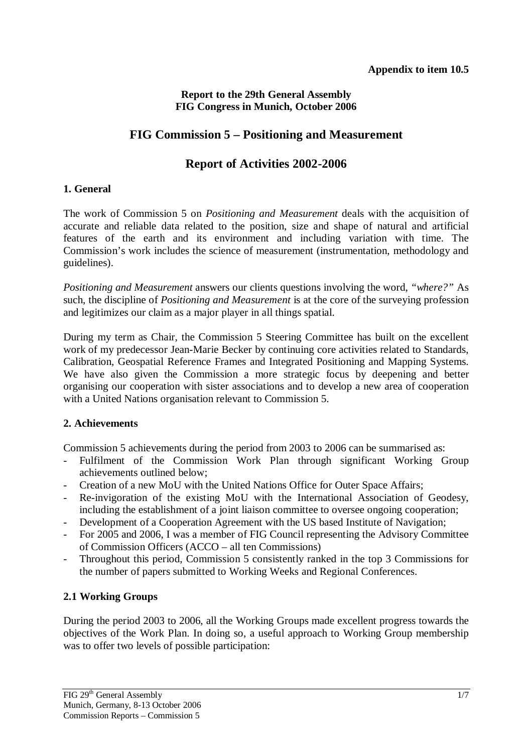# **Report to the 29th General Assembly FIG Congress in Munich, October 2006**

# **FIG Commission 5 – Positioning and Measurement**

# **Report of Activities 2002-2006**

### **1. General**

The work of Commission 5 on *Positioning and Measurement* deals with the acquisition of accurate and reliable data related to the position, size and shape of natural and artificial features of the earth and its environment and including variation with time. The Commission's work includes the science of measurement (instrumentation, methodology and guidelines).

*Positioning and Measurement* answers our clients questions involving the word, *"where?"* As such, the discipline of *Positioning and Measurement* is at the core of the surveying profession and legitimizes our claim as a major player in all things spatial.

During my term as Chair, the Commission 5 Steering Committee has built on the excellent work of my predecessor Jean-Marie Becker by continuing core activities related to Standards, Calibration, Geospatial Reference Frames and Integrated Positioning and Mapping Systems. We have also given the Commission a more strategic focus by deepening and better organising our cooperation with sister associations and to develop a new area of cooperation with a United Nations organisation relevant to Commission 5.

# **2. Achievements**

Commission 5 achievements during the period from 2003 to 2006 can be summarised as:

- Fulfilment of the Commission Work Plan through significant Working Group achievements outlined below;
- Creation of a new MoU with the United Nations Office for Outer Space Affairs;
- Re-invigoration of the existing MoU with the International Association of Geodesy, including the establishment of a joint liaison committee to oversee ongoing cooperation;
- Development of a Cooperation Agreement with the US based Institute of Navigation;
- For 2005 and 2006, I was a member of FIG Council representing the Advisory Committee of Commission Officers (ACCO – all ten Commissions)
- Throughout this period, Commission 5 consistently ranked in the top 3 Commissions for the number of papers submitted to Working Weeks and Regional Conferences.

# **2.1 Working Groups**

During the period 2003 to 2006, all the Working Groups made excellent progress towards the objectives of the Work Plan. In doing so, a useful approach to Working Group membership was to offer two levels of possible participation: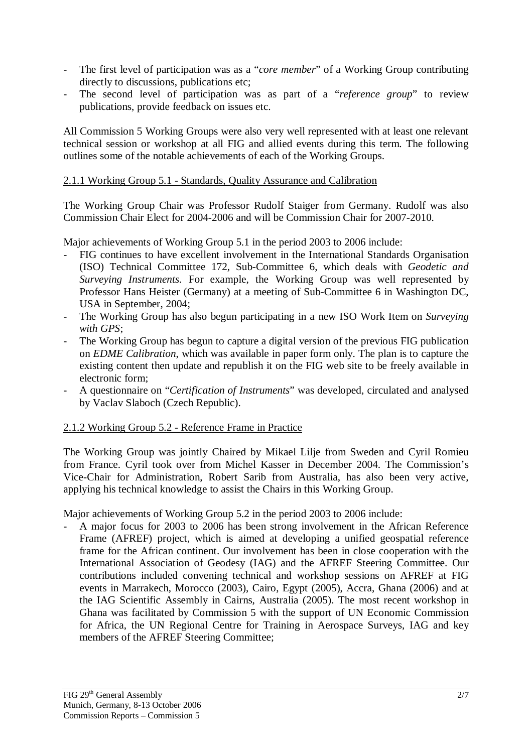- The first level of participation was as a "*core member*" of a Working Group contributing directly to discussions, publications etc;
- The second level of participation was as part of a "*reference group*" to review publications, provide feedback on issues etc.

All Commission 5 Working Groups were also very well represented with at least one relevant technical session or workshop at all FIG and allied events during this term. The following outlines some of the notable achievements of each of the Working Groups.

### 2.1.1 Working Group 5.1 - Standards, Quality Assurance and Calibration

The Working Group Chair was Professor Rudolf Staiger from Germany. Rudolf was also Commission Chair Elect for 2004-2006 and will be Commission Chair for 2007-2010.

Major achievements of Working Group 5.1 in the period 2003 to 2006 include:

- FIG continues to have excellent involvement in the International Standards Organisation (ISO) Technical Committee 172, Sub-Committee 6, which deals with *Geodetic and Surveying Instruments*. For example, the Working Group was well represented by Professor Hans Heister (Germany) at a meeting of Sub-Committee 6 in Washington DC, USA in September, 2004;
- The Working Group has also begun participating in a new ISO Work Item on *Surveying with GPS*;
- The Working Group has begun to capture a digital version of the previous FIG publication on *EDME Calibration*, which was available in paper form only. The plan is to capture the existing content then update and republish it on the FIG web site to be freely available in electronic form;
- A questionnaire on "*Certification of Instruments*" was developed, circulated and analysed by Vaclav Slaboch (Czech Republic).

# 2.1.2 Working Group 5.2 - Reference Frame in Practice

The Working Group was jointly Chaired by Mikael Lilje from Sweden and Cyril Romieu from France. Cyril took over from Michel Kasser in December 2004. The Commission's Vice-Chair for Administration, Robert Sarib from Australia, has also been very active, applying his technical knowledge to assist the Chairs in this Working Group.

Major achievements of Working Group 5.2 in the period 2003 to 2006 include:

- A major focus for 2003 to 2006 has been strong involvement in the African Reference Frame (AFREF) project, which is aimed at developing a unified geospatial reference frame for the African continent. Our involvement has been in close cooperation with the International Association of Geodesy (IAG) and the AFREF Steering Committee. Our contributions included convening technical and workshop sessions on AFREF at FIG events in Marrakech, Morocco (2003), Cairo, Egypt (2005), Accra, Ghana (2006) and at the IAG Scientific Assembly in Cairns, Australia (2005). The most recent workshop in Ghana was facilitated by Commission 5 with the support of UN Economic Commission for Africa, the UN Regional Centre for Training in Aerospace Surveys, IAG and key members of the AFREF Steering Committee;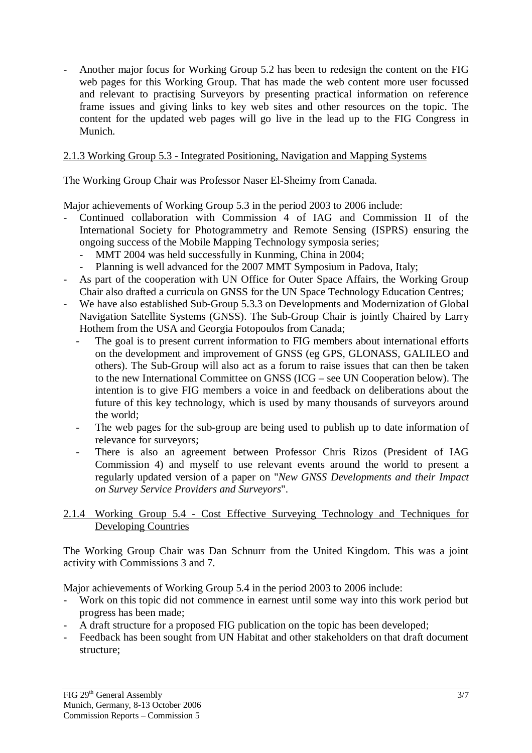- Another major focus for Working Group 5.2 has been to redesign the content on the FIG web pages for this Working Group. That has made the web content more user focussed and relevant to practising Surveyors by presenting practical information on reference frame issues and giving links to key web sites and other resources on the topic. The content for the updated web pages will go live in the lead up to the FIG Congress in Munich.

# 2.1.3 Working Group 5.3 - Integrated Positioning, Navigation and Mapping Systems

The Working Group Chair was Professor Naser El-Sheimy from Canada.

Major achievements of Working Group 5.3 in the period 2003 to 2006 include:

- Continued collaboration with Commission 4 of IAG and Commission II of the International Society for Photogrammetry and Remote Sensing (ISPRS) ensuring the ongoing success of the Mobile Mapping Technology symposia series;
	- MMT 2004 was held successfully in Kunming, China in 2004;
	- Planning is well advanced for the 2007 MMT Symposium in Padova, Italy;
- As part of the cooperation with UN Office for Outer Space Affairs, the Working Group Chair also drafted a curricula on GNSS for the UN Space Technology Education Centres;
- We have also established Sub-Group 5.3.3 on Developments and Modernization of Global Navigation Satellite Systems (GNSS). The Sub-Group Chair is jointly Chaired by Larry Hothem from the USA and Georgia Fotopoulos from Canada;
	- The goal is to present current information to FIG members about international efforts on the development and improvement of GNSS (eg GPS, GLONASS, GALILEO and others). The Sub-Group will also act as a forum to raise issues that can then be taken to the new International Committee on GNSS (ICG – see UN Cooperation below). The intention is to give FIG members a voice in and feedback on deliberations about the future of this key technology, which is used by many thousands of surveyors around the world;
	- The web pages for the sub-group are being used to publish up to date information of relevance for surveyors;
	- There is also an agreement between Professor Chris Rizos (President of IAG Commission 4) and myself to use relevant events around the world to present a regularly updated version of a paper on "*New GNSS Developments and their Impact on Survey Service Providers and Surveyors*".

### 2.1.4 Working Group 5.4 - Cost Effective Surveying Technology and Techniques for Developing Countries

The Working Group Chair was Dan Schnurr from the United Kingdom. This was a joint activity with Commissions 3 and 7.

Major achievements of Working Group 5.4 in the period 2003 to 2006 include:

- Work on this topic did not commence in earnest until some way into this work period but progress has been made;
- A draft structure for a proposed FIG publication on the topic has been developed;
- Feedback has been sought from UN Habitat and other stakeholders on that draft document structure;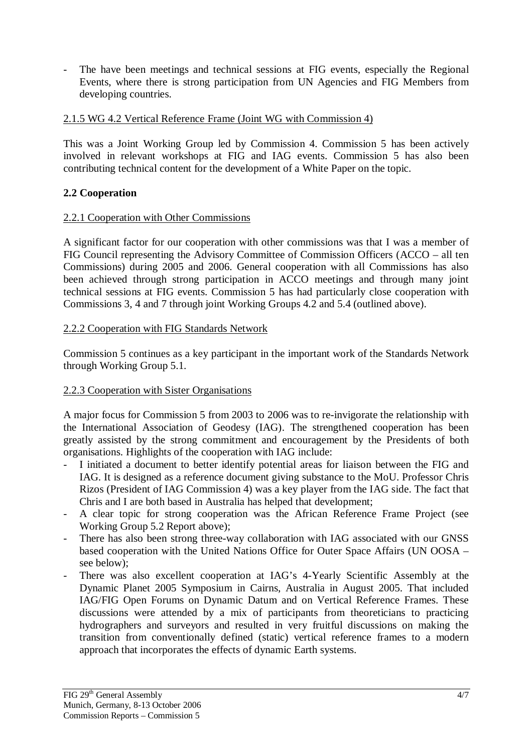The have been meetings and technical sessions at FIG events, especially the Regional Events, where there is strong participation from UN Agencies and FIG Members from developing countries.

# 2.1.5 WG 4.2 Vertical Reference Frame (Joint WG with Commission 4)

This was a Joint Working Group led by Commission 4. Commission 5 has been actively involved in relevant workshops at FIG and IAG events. Commission 5 has also been contributing technical content for the development of a White Paper on the topic.

### **2.2 Cooperation**

#### 2.2.1 Cooperation with Other Commissions

A significant factor for our cooperation with other commissions was that I was a member of FIG Council representing the Advisory Committee of Commission Officers (ACCO – all ten Commissions) during 2005 and 2006. General cooperation with all Commissions has also been achieved through strong participation in ACCO meetings and through many joint technical sessions at FIG events. Commission 5 has had particularly close cooperation with Commissions 3, 4 and 7 through joint Working Groups 4.2 and 5.4 (outlined above).

### 2.2.2 Cooperation with FIG Standards Network

Commission 5 continues as a key participant in the important work of the Standards Network through Working Group 5.1.

# 2.2.3 Cooperation with Sister Organisations

A major focus for Commission 5 from 2003 to 2006 was to re-invigorate the relationship with the International Association of Geodesy (IAG). The strengthened cooperation has been greatly assisted by the strong commitment and encouragement by the Presidents of both organisations. Highlights of the cooperation with IAG include:

- I initiated a document to better identify potential areas for liaison between the FIG and IAG. It is designed as a reference document giving substance to the MoU. Professor Chris Rizos (President of IAG Commission 4) was a key player from the IAG side. The fact that Chris and I are both based in Australia has helped that development;
- A clear topic for strong cooperation was the African Reference Frame Project (see Working Group 5.2 Report above);
- There has also been strong three-way collaboration with IAG associated with our GNSS based cooperation with the United Nations Office for Outer Space Affairs (UN OOSA – see below);
- There was also excellent cooperation at IAG's 4-Yearly Scientific Assembly at the Dynamic Planet 2005 Symposium in Cairns, Australia in August 2005. That included IAG/FIG Open Forums on Dynamic Datum and on Vertical Reference Frames. These discussions were attended by a mix of participants from theoreticians to practicing hydrographers and surveyors and resulted in very fruitful discussions on making the transition from conventionally defined (static) vertical reference frames to a modern approach that incorporates the effects of dynamic Earth systems.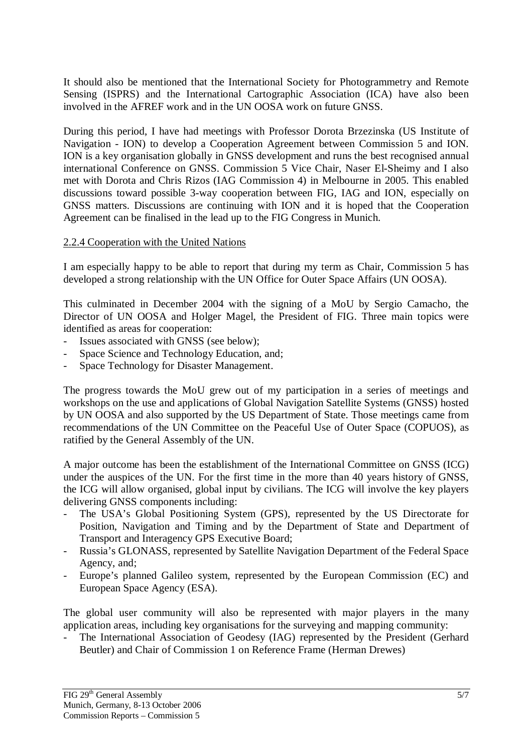It should also be mentioned that the International Society for Photogrammetry and Remote Sensing (ISPRS) and the International Cartographic Association (ICA) have also been involved in the AFREF work and in the UN OOSA work on future GNSS.

During this period, I have had meetings with Professor Dorota Brzezinska (US Institute of Navigation - ION) to develop a Cooperation Agreement between Commission 5 and ION. ION is a key organisation globally in GNSS development and runs the best recognised annual international Conference on GNSS. Commission 5 Vice Chair, Naser El-Sheimy and I also met with Dorota and Chris Rizos (IAG Commission 4) in Melbourne in 2005. This enabled discussions toward possible 3-way cooperation between FIG, IAG and ION, especially on GNSS matters. Discussions are continuing with ION and it is hoped that the Cooperation Agreement can be finalised in the lead up to the FIG Congress in Munich.

#### 2.2.4 Cooperation with the United Nations

I am especially happy to be able to report that during my term as Chair, Commission 5 has developed a strong relationship with the UN Office for Outer Space Affairs (UN OOSA).

This culminated in December 2004 with the signing of a MoU by Sergio Camacho, the Director of UN OOSA and Holger Magel, the President of FIG. Three main topics were identified as areas for cooperation:

- Issues associated with GNSS (see below);
- Space Science and Technology Education, and:
- Space Technology for Disaster Management.

The progress towards the MoU grew out of my participation in a series of meetings and workshops on the use and applications of Global Navigation Satellite Systems (GNSS) hosted by UN OOSA and also supported by the US Department of State. Those meetings came from recommendations of the UN Committee on the Peaceful Use of Outer Space (COPUOS), as ratified by the General Assembly of the UN.

A major outcome has been the establishment of the International Committee on GNSS (ICG) under the auspices of the UN. For the first time in the more than 40 years history of GNSS, the ICG will allow organised, global input by civilians. The ICG will involve the key players delivering GNSS components including:

- The USA's Global Positioning System (GPS), represented by the US Directorate for Position, Navigation and Timing and by the Department of State and Department of Transport and Interagency GPS Executive Board;
- Russia's GLONASS, represented by Satellite Navigation Department of the Federal Space Agency, and;
- Europe's planned Galileo system, represented by the European Commission (EC) and European Space Agency (ESA).

The global user community will also be represented with major players in the many application areas, including key organisations for the surveying and mapping community:

The International Association of Geodesy (IAG) represented by the President (Gerhard Beutler) and Chair of Commission 1 on Reference Frame (Herman Drewes)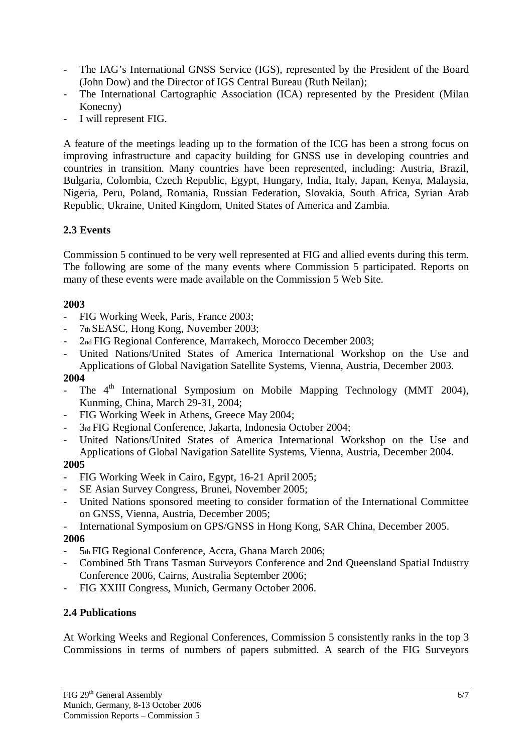- The IAG's International GNSS Service (IGS), represented by the President of the Board (John Dow) and the Director of IGS Central Bureau (Ruth Neilan);
- The International Cartographic Association (ICA) represented by the President (Milan Konecny)
- I will represent FIG.

A feature of the meetings leading up to the formation of the ICG has been a strong focus on improving infrastructure and capacity building for GNSS use in developing countries and countries in transition. Many countries have been represented, including: Austria, Brazil, Bulgaria, Colombia, Czech Republic, Egypt, Hungary, India, Italy, Japan, Kenya, Malaysia, Nigeria, Peru, Poland, Romania, Russian Federation, Slovakia, South Africa, Syrian Arab Republic, Ukraine, United Kingdom, United States of America and Zambia.

# **2.3 Events**

Commission 5 continued to be very well represented at FIG and allied events during this term. The following are some of the many events where Commission 5 participated. Reports on many of these events were made available on the Commission 5 Web Site.

# **2003**

- FIG Working Week, Paris, France 2003;
- 7th SEASC, Hong Kong, November 2003;
- 2nd FIG Regional Conference, Marrakech, Morocco December 2003;
- United Nations/United States of America International Workshop on the Use and Applications of Global Navigation Satellite Systems, Vienna, Austria, December 2003.

### **2004**

- The  $4<sup>th</sup>$  International Symposium on Mobile Mapping Technology (MMT 2004), Kunming, China, March 29-31, 2004;
- FIG Working Week in Athens, Greece May 2004;
- 3rd FIG Regional Conference, Jakarta, Indonesia October 2004;
- United Nations/United States of America International Workshop on the Use and Applications of Global Navigation Satellite Systems, Vienna, Austria, December 2004.

#### **2005**

- FIG Working Week in Cairo, Egypt, 16-21 April 2005;
- SE Asian Survey Congress, Brunei, November 2005;
- United Nations sponsored meeting to consider formation of the International Committee on GNSS, Vienna, Austria, December 2005;
- International Symposium on GPS/GNSS in Hong Kong, SAR China, December 2005.

#### **2006**

- 5th FIG Regional Conference, Accra, Ghana March 2006;
- Combined 5th Trans Tasman Surveyors Conference and 2nd Queensland Spatial Industry Conference 2006, Cairns, Australia September 2006;
- FIG XXIII Congress, Munich, Germany October 2006.

# **2.4 Publications**

At Working Weeks and Regional Conferences, Commission 5 consistently ranks in the top 3 Commissions in terms of numbers of papers submitted. A search of the FIG Surveyors